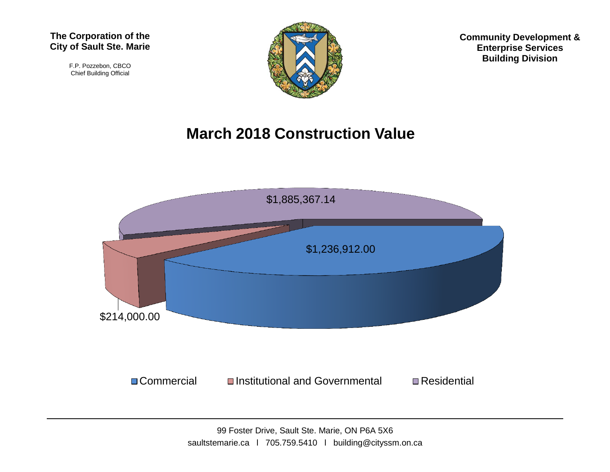F.P. Pozzebon, CBCO Chief Building Official



**Community Development & Enterprise Services Building Division**

## **March 2018 Construction Value**

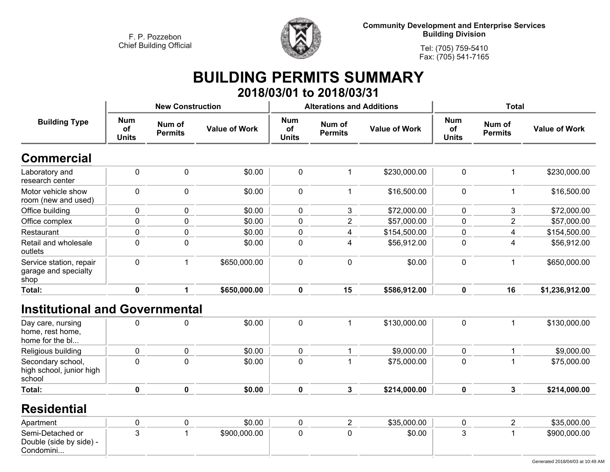

**Community Development and Enterprise Services Building Division**

**Tel: (705) 759-5410Fax: (705) 541-7165**

# **BUILDING PERMITS SUMMARY**

|                                                         |                                  |                          |                      |                                  | 2018/03/01 to 2018/03/31         |                      |                                  |                          |                      |  |
|---------------------------------------------------------|----------------------------------|--------------------------|----------------------|----------------------------------|----------------------------------|----------------------|----------------------------------|--------------------------|----------------------|--|
|                                                         |                                  | <b>New Construction</b>  |                      |                                  | <b>Alterations and Additions</b> |                      | Total                            |                          |                      |  |
| <b>Building Type</b>                                    | <b>Num</b><br>оf<br><b>Units</b> | Num of<br><b>Permits</b> | <b>Value of Work</b> | <b>Num</b><br>of<br><b>Units</b> | Num of<br><b>Permits</b>         | <b>Value of Work</b> | <b>Num</b><br>οf<br><b>Units</b> | Num of<br><b>Permits</b> | <b>Value of Work</b> |  |
| <b>Commercial</b>                                       |                                  |                          |                      |                                  |                                  |                      |                                  |                          |                      |  |
| Laboratory and<br>research center                       | 0                                | $\mathbf 0$              | \$0.00               | $\mathbf 0$                      |                                  | \$230,000.00         | $\mathbf{0}$                     |                          | \$230,000.00         |  |
| Motor vehicle show<br>room (new and used)               | 0                                | $\mathbf 0$              | \$0.00               | $\mathbf 0$                      |                                  | \$16,500.00          | 0                                |                          | \$16,500.00          |  |
| Office building                                         | 0                                | 0                        | \$0.00               | 0                                | 3                                | \$72,000.00          | 0                                | 3                        | \$72,000.00          |  |
| Office complex                                          | 0                                | 0                        | \$0.00               | 0                                | $\overline{2}$                   | \$57,000.00          | 0                                | $\overline{2}$           | \$57,000.00          |  |
| Restaurant                                              | 0                                | 0                        | \$0.00               | 0                                | 4                                | \$154,500.00         | 0                                | 4                        | \$154,500.00         |  |
| Retail and wholesale<br>outlets                         | 0                                | $\mathbf 0$              | \$0.00               | $\mathbf 0$                      | 4                                | \$56,912.00          | 0                                | 4                        | \$56,912.00          |  |
| Service station, repair<br>garage and specialty<br>shop | 0                                |                          | \$650,000.00         | $\mathbf 0$                      | $\mathbf 0$                      | \$0.00               | $\mathbf 0$                      |                          | \$650,000.00         |  |
| Total:                                                  | 0                                |                          | \$650,000.00         | $\mathbf 0$                      | 15                               | \$586,912.00         | $\mathbf 0$                      | 16                       | \$1,236,912.00       |  |

## **Institutional and Governmental**

| Day care, nursing<br>home, rest home,<br>home for the bl |  | \$0.00 |   | \$130,000.00 | 0 | \$130,000.00 |
|----------------------------------------------------------|--|--------|---|--------------|---|--------------|
| Religious building                                       |  | \$0.00 |   | \$9,000.00   |   | \$9,000.00   |
| Secondary school,<br>high school, junior high<br>school  |  | \$0.00 |   | \$75,000.00  |   | \$75,000.00  |
| Total:                                                   |  | \$0.00 | Λ | \$214,000.00 |   | \$214,000.00 |

#### **Residential**

| Apartment                                                |  | \$0.00       |  | \$35,000.00 |  | \$35,000.00  |
|----------------------------------------------------------|--|--------------|--|-------------|--|--------------|
| Semi-Detached or<br>Double (side by side) -<br>Condomini |  | \$900,000.00 |  | \$0.00      |  | \$900,000.00 |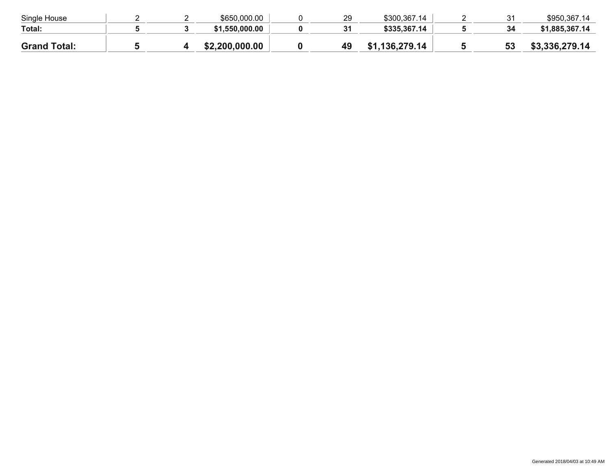| Single House        |  | \$650,000.00   | 29 | \$300,367.14 | 31 | \$950,367.14   |
|---------------------|--|----------------|----|--------------|----|----------------|
| Total:              |  | \$1.550.000.00 | 31 | \$335,367.14 | 34 | \$1,885,367,14 |
| <b>Grand Total:</b> |  | \$2,200,000.00 |    | 136,279.14   | 53 | \$3,336,279.14 |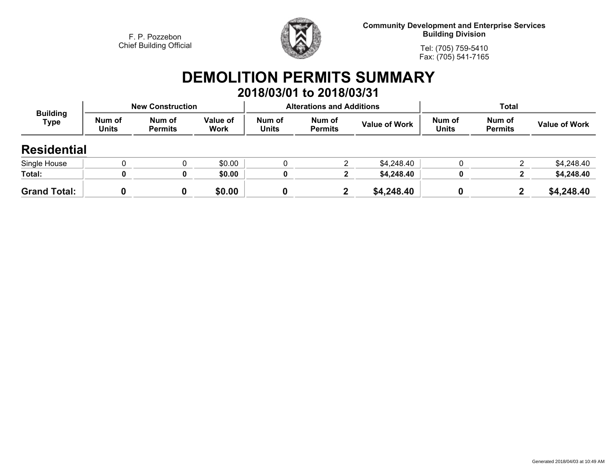

**Community Development and Enterprise Services Building Division**

**Tel: (705) 759-5410Fax: (705) 541-7165**

### **DEMOLITION PERMITS SUMMARY 2018/03/01 to 2018/03/31**

| <b>Building</b><br>Type |                        | <b>New Construction</b>  |                  |                        | <b>Alterations and Additions</b> |                      | <b>Total</b>           |                          |                      |
|-------------------------|------------------------|--------------------------|------------------|------------------------|----------------------------------|----------------------|------------------------|--------------------------|----------------------|
|                         | Num of<br><b>Units</b> | Num of<br><b>Permits</b> | Value of<br>Work | Num of<br><b>Units</b> | Num of<br><b>Permits</b>         | <b>Value of Work</b> | Num of<br><b>Units</b> | Num of<br><b>Permits</b> | <b>Value of Work</b> |
| <b>Residential</b>      |                        |                          |                  |                        |                                  |                      |                        |                          |                      |
| Single House            |                        |                          | \$0.00           |                        | ◠                                | \$4,248.40           |                        |                          | \$4,248.40           |
| Total:                  |                        |                          | \$0.00           |                        |                                  | \$4,248.40           |                        |                          | \$4,248.40           |
| <b>Grand Total:</b>     |                        |                          | \$0.00           |                        | $\mathbf{2}$                     | \$4,248.40           |                        |                          | \$4,248.40           |